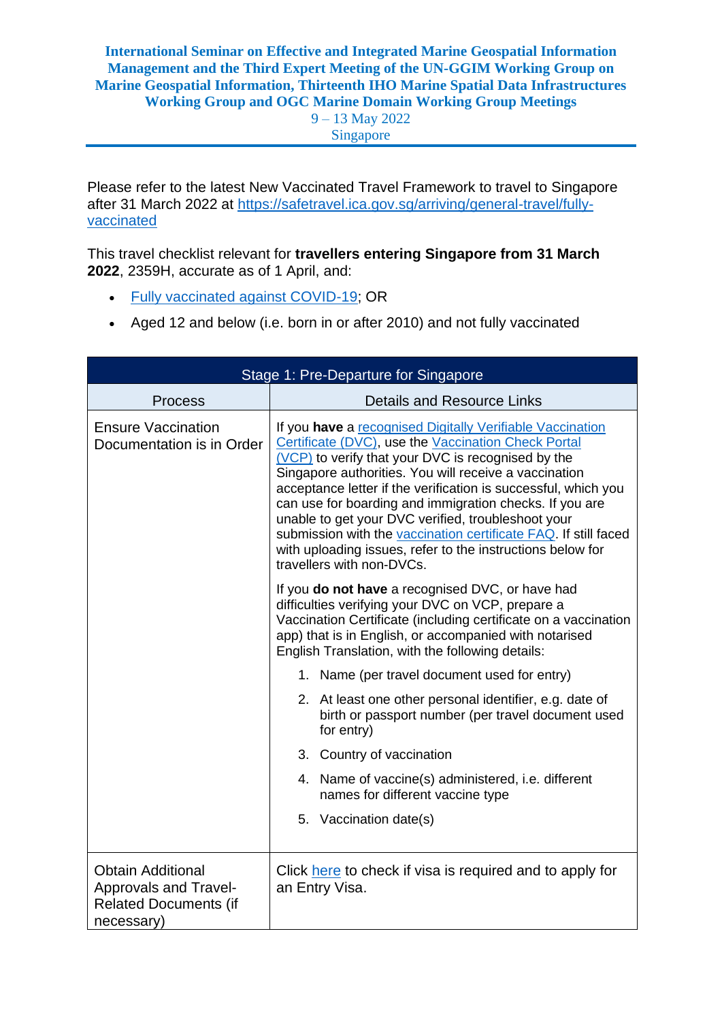9 – 13 May 2022 Singapore

Please refer to the latest New Vaccinated Travel Framework to travel to Singapore after 31 March 2022 at [https://safetravel.ica.gov.sg/arriving/general-travel/fully](https://safetravel.ica.gov.sg/arriving/general-travel/fully-vaccinated)[vaccinated](https://safetravel.ica.gov.sg/arriving/general-travel/fully-vaccinated)

This travel checklist relevant for **travellers entering Singapore from 31 March 2022**, 2359H, accurate as of 1 April, and:

- [Fully vaccinated against COVID-19;](https://safetravel.ica.gov.sg/arriving/overview#vaccination) OR
- Aged 12 and below (i.e. born in or after 2010) and not fully vaccinated

| Stage 1: Pre-Departure for Singapore                                                            |                                                                                                                                                                                                                                                                                                                                                                                                                                                                                                                                                                                  |  |
|-------------------------------------------------------------------------------------------------|----------------------------------------------------------------------------------------------------------------------------------------------------------------------------------------------------------------------------------------------------------------------------------------------------------------------------------------------------------------------------------------------------------------------------------------------------------------------------------------------------------------------------------------------------------------------------------|--|
| <b>Process</b>                                                                                  | <b>Details and Resource Links</b>                                                                                                                                                                                                                                                                                                                                                                                                                                                                                                                                                |  |
| <b>Ensure Vaccination</b><br>Documentation is in Order                                          | If you have a recognised Digitally Verifiable Vaccination<br>Certificate (DVC), use the Vaccination Check Portal<br>(VCP) to verify that your DVC is recognised by the<br>Singapore authorities. You will receive a vaccination<br>acceptance letter if the verification is successful, which you<br>can use for boarding and immigration checks. If you are<br>unable to get your DVC verified, troubleshoot your<br>submission with the vaccination certificate FAQ. If still faced<br>with uploading issues, refer to the instructions below for<br>travellers with non-DVCs. |  |
|                                                                                                 | If you do not have a recognised DVC, or have had<br>difficulties verifying your DVC on VCP, prepare a<br>Vaccination Certificate (including certificate on a vaccination<br>app) that is in English, or accompanied with notarised<br>English Translation, with the following details:                                                                                                                                                                                                                                                                                           |  |
|                                                                                                 | 1. Name (per travel document used for entry)                                                                                                                                                                                                                                                                                                                                                                                                                                                                                                                                     |  |
|                                                                                                 | 2. At least one other personal identifier, e.g. date of<br>birth or passport number (per travel document used<br>for entry)                                                                                                                                                                                                                                                                                                                                                                                                                                                      |  |
|                                                                                                 | 3. Country of vaccination                                                                                                                                                                                                                                                                                                                                                                                                                                                                                                                                                        |  |
|                                                                                                 | 4. Name of vaccine(s) administered, i.e. different<br>names for different vaccine type                                                                                                                                                                                                                                                                                                                                                                                                                                                                                           |  |
|                                                                                                 | 5. Vaccination date(s)                                                                                                                                                                                                                                                                                                                                                                                                                                                                                                                                                           |  |
| <b>Obtain Additional</b><br>Approvals and Travel-<br><b>Related Documents (if</b><br>necessary) | Click here to check if visa is required and to apply for<br>an Entry Visa.                                                                                                                                                                                                                                                                                                                                                                                                                                                                                                       |  |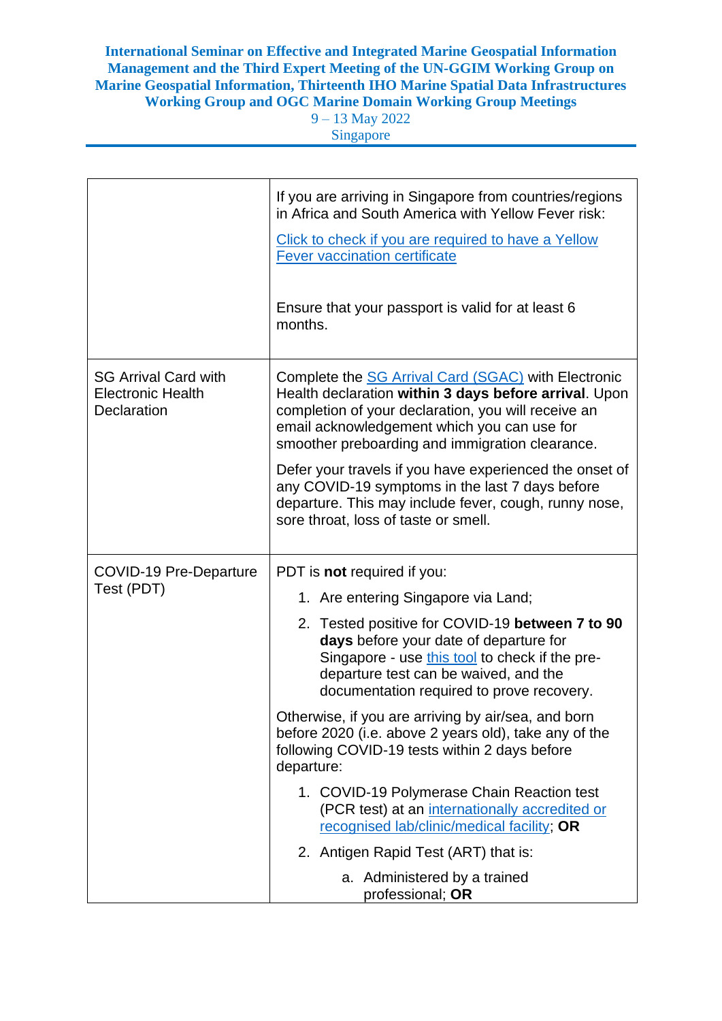9 – 13 May 2022 Singapore

|                                                                        | If you are arriving in Singapore from countries/regions<br>in Africa and South America with Yellow Fever risk:                                                                                                                                                        |
|------------------------------------------------------------------------|-----------------------------------------------------------------------------------------------------------------------------------------------------------------------------------------------------------------------------------------------------------------------|
|                                                                        | Click to check if you are required to have a Yellow<br><b>Fever vaccination certificate</b>                                                                                                                                                                           |
|                                                                        | Ensure that your passport is valid for at least 6<br>months.                                                                                                                                                                                                          |
| <b>SG Arrival Card with</b><br><b>Electronic Health</b><br>Declaration | Complete the SG Arrival Card (SGAC) with Electronic<br>Health declaration within 3 days before arrival. Upon<br>completion of your declaration, you will receive an<br>email acknowledgement which you can use for<br>smoother preboarding and immigration clearance. |
|                                                                        | Defer your travels if you have experienced the onset of<br>any COVID-19 symptoms in the last 7 days before<br>departure. This may include fever, cough, runny nose,<br>sore throat, loss of taste or smell.                                                           |
| <b>COVID-19 Pre-Departure</b><br>Test (PDT)                            | PDT is not required if you:                                                                                                                                                                                                                                           |
|                                                                        | 1. Are entering Singapore via Land;                                                                                                                                                                                                                                   |
|                                                                        | 2. Tested positive for COVID-19 between 7 to 90<br>days before your date of departure for<br>Singapore - use this tool to check if the pre-<br>departure test can be waived, and the<br>documentation required to prove recovery.                                     |
|                                                                        | Otherwise, if you are arriving by air/sea, and born<br>before 2020 (i.e. above 2 years old), take any of the<br>following COVID-19 tests within 2 days before<br>departure:                                                                                           |
|                                                                        | 1. COVID-19 Polymerase Chain Reaction test<br>(PCR test) at an internationally accredited or<br>recognised lab/clinic/medical facility; OR                                                                                                                            |
|                                                                        | 2. Antigen Rapid Test (ART) that is:                                                                                                                                                                                                                                  |
|                                                                        | a. Administered by a trained<br>professional; OR                                                                                                                                                                                                                      |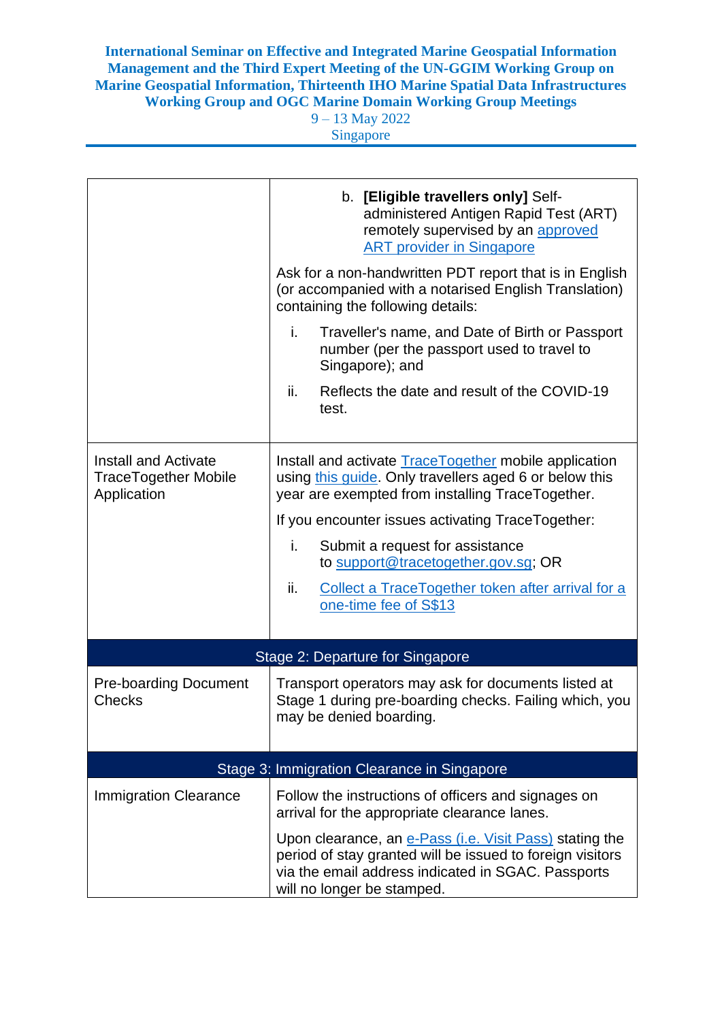9 – 13 May 2022 Singapore

|                                                                           | b. [Eligible travellers only] Self-<br>administered Antigen Rapid Test (ART)<br>remotely supervised by an approved<br><b>ART provider in Singapore</b><br>Ask for a non-handwritten PDT report that is in English<br>(or accompanied with a notarised English Translation)<br>containing the following details:<br>i.<br>Traveller's name, and Date of Birth or Passport<br>number (per the passport used to travel to<br>Singapore); and<br>ii.<br>Reflects the date and result of the COVID-19<br>test. |  |
|---------------------------------------------------------------------------|-----------------------------------------------------------------------------------------------------------------------------------------------------------------------------------------------------------------------------------------------------------------------------------------------------------------------------------------------------------------------------------------------------------------------------------------------------------------------------------------------------------|--|
| <b>Install and Activate</b><br><b>TraceTogether Mobile</b><br>Application | Install and activate <b>Trace Together</b> mobile application<br>using this guide. Only travellers aged 6 or below this<br>year are exempted from installing TraceTogether.<br>If you encounter issues activating TraceTogether:<br>i.<br>Submit a request for assistance<br>to support@tracetogether.gov.sg; OR<br>ii.<br>Collect a TraceTogether token after arrival for a<br>one-time fee of S\$13                                                                                                     |  |
| Stage 2: Departure for Singapore                                          |                                                                                                                                                                                                                                                                                                                                                                                                                                                                                                           |  |
| <b>Pre-boarding Document</b><br><b>Checks</b>                             | Transport operators may ask for documents listed at<br>Stage 1 during pre-boarding checks. Failing which, you<br>may be denied boarding.                                                                                                                                                                                                                                                                                                                                                                  |  |
| Stage 3: Immigration Clearance in Singapore                               |                                                                                                                                                                                                                                                                                                                                                                                                                                                                                                           |  |
| <b>Immigration Clearance</b>                                              | Follow the instructions of officers and signages on<br>arrival for the appropriate clearance lanes.<br>Upon clearance, an e-Pass (i.e. Visit Pass) stating the<br>period of stay granted will be issued to foreign visitors<br>via the email address indicated in SGAC. Passports<br>will no longer be stamped.                                                                                                                                                                                           |  |